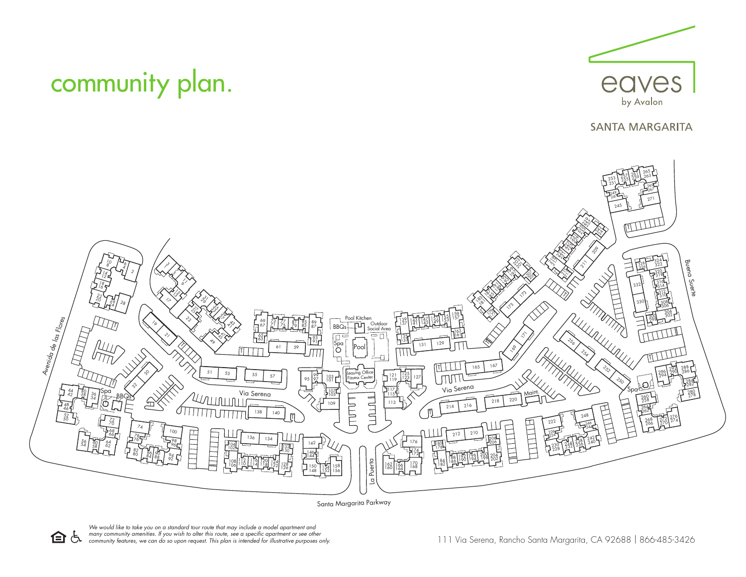

Santa Margarita Parkway